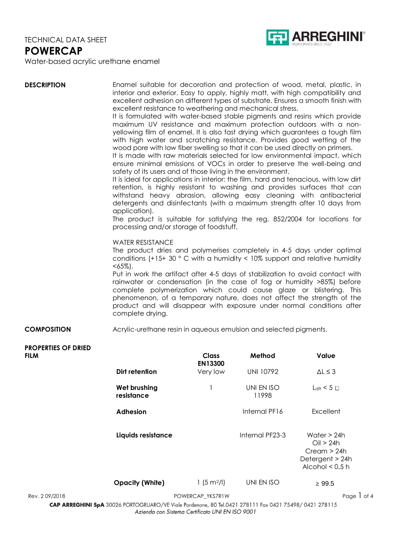

Water-based acrylic urethane enamel

| <b>DESCRIPTION</b>                        | Enamel suitable for decoration and protection of wood, metal, plastic, in<br>interior and exterior. Easy to apply, highly matt, with high compatibility and<br>excellent adhesion on different types of substrate. Ensures a smooth finish with<br>excellent resistance to weathering and mechanical stress.<br>It is formulated with water-based stable pigments and resins which provide<br>maximum UV resistance and maximum protection outdoors with a non-<br>yellowing film of enamel. It is also fast drying which guarantees a tough film<br>with high water and scratching resistance. Provides good wetting of the<br>wood pore with low fiber swelling so that it can be used directly on primers.<br>It is made with raw materials selected for low environmental impact, which<br>ensure minimal emissions of VOCs in order to preserve the well-being and<br>safety of its users and of those living in the environment.<br>It is ideal for applications in interior: the film, hard and tenacious, with low dirt<br>retention, is highly resistant to washing and provides surfaces that can<br>withstand heavy abrasion, allowing easy cleaning with antibacterial<br>detergents and disinfectants (with a maximum strength after 10 days from<br>application).<br>The product is suitable for satisfying the reg. 852/2004 for locations for<br>processing and/or storage of foodstuff.<br><b>WATER RESISTANCE</b><br>The product dries and polymerises completely in 4-5 days under optimal<br>conditions (+15+ 30 $\degree$ C with a humidity < 10% support and relative humidity<br>$<65\%$ ).<br>Put in work the artifact after 4-5 days of stabilization to avoid contact with<br>rainwater or condensation (in the case of fog or humidity >85%) before<br>complete polymerization which could cause glaze or blistering. This<br>phenomenon, of a temporary nature, does not affect the strength of the<br>product and will disappear with exposure under normal conditions after<br>complete drying. |                            |                     |                                                                                   |  |  |  |
|-------------------------------------------|-------------------------------------------------------------------------------------------------------------------------------------------------------------------------------------------------------------------------------------------------------------------------------------------------------------------------------------------------------------------------------------------------------------------------------------------------------------------------------------------------------------------------------------------------------------------------------------------------------------------------------------------------------------------------------------------------------------------------------------------------------------------------------------------------------------------------------------------------------------------------------------------------------------------------------------------------------------------------------------------------------------------------------------------------------------------------------------------------------------------------------------------------------------------------------------------------------------------------------------------------------------------------------------------------------------------------------------------------------------------------------------------------------------------------------------------------------------------------------------------------------------------------------------------------------------------------------------------------------------------------------------------------------------------------------------------------------------------------------------------------------------------------------------------------------------------------------------------------------------------------------------------------------------------------------------------------------------------------------------------------------------------------------|----------------------------|---------------------|-----------------------------------------------------------------------------------|--|--|--|
| <b>COMPOSITION</b>                        | Acrylic-urethane resin in aqueous emulsion and selected pigments.                                                                                                                                                                                                                                                                                                                                                                                                                                                                                                                                                                                                                                                                                                                                                                                                                                                                                                                                                                                                                                                                                                                                                                                                                                                                                                                                                                                                                                                                                                                                                                                                                                                                                                                                                                                                                                                                                                                                                             |                            |                     |                                                                                   |  |  |  |
|                                           |                                                                                                                                                                                                                                                                                                                                                                                                                                                                                                                                                                                                                                                                                                                                                                                                                                                                                                                                                                                                                                                                                                                                                                                                                                                                                                                                                                                                                                                                                                                                                                                                                                                                                                                                                                                                                                                                                                                                                                                                                               |                            |                     |                                                                                   |  |  |  |
| <b>PROPERTIES OF DRIED</b><br><b>FILM</b> |                                                                                                                                                                                                                                                                                                                                                                                                                                                                                                                                                                                                                                                                                                                                                                                                                                                                                                                                                                                                                                                                                                                                                                                                                                                                                                                                                                                                                                                                                                                                                                                                                                                                                                                                                                                                                                                                                                                                                                                                                               | <b>Class</b>               | Method              | Value                                                                             |  |  |  |
|                                           | Dirt retention                                                                                                                                                                                                                                                                                                                                                                                                                                                                                                                                                                                                                                                                                                                                                                                                                                                                                                                                                                                                                                                                                                                                                                                                                                                                                                                                                                                                                                                                                                                                                                                                                                                                                                                                                                                                                                                                                                                                                                                                                | <b>EN13300</b><br>Very low | <b>UNI 10792</b>    | $\Delta L \leq 3$                                                                 |  |  |  |
|                                           | Wet brushing<br>resistance                                                                                                                                                                                                                                                                                                                                                                                                                                                                                                                                                                                                                                                                                                                                                                                                                                                                                                                                                                                                                                                                                                                                                                                                                                                                                                                                                                                                                                                                                                                                                                                                                                                                                                                                                                                                                                                                                                                                                                                                    | 1                          | UNI EN ISO<br>11998 | $L_{\text{dft}}$ < 5 $\Box$                                                       |  |  |  |
|                                           | <b>Adhesion</b>                                                                                                                                                                                                                                                                                                                                                                                                                                                                                                                                                                                                                                                                                                                                                                                                                                                                                                                                                                                                                                                                                                                                                                                                                                                                                                                                                                                                                                                                                                                                                                                                                                                                                                                                                                                                                                                                                                                                                                                                               |                            | Internal PF16       | Excellent                                                                         |  |  |  |
|                                           | Liquids resistance                                                                                                                                                                                                                                                                                                                                                                                                                                                                                                                                                                                                                                                                                                                                                                                                                                                                                                                                                                                                                                                                                                                                                                                                                                                                                                                                                                                                                                                                                                                                                                                                                                                                                                                                                                                                                                                                                                                                                                                                            |                            | Internal PF23-3     | Water $> 24h$<br>Oil > 24h<br>Cream > 24h<br>Detergent > 24h<br>Alcohol $< 0.5$ h |  |  |  |
|                                           | <b>Opacity (White)</b>                                                                                                                                                                                                                                                                                                                                                                                                                                                                                                                                                                                                                                                                                                                                                                                                                                                                                                                                                                                                                                                                                                                                                                                                                                                                                                                                                                                                                                                                                                                                                                                                                                                                                                                                                                                                                                                                                                                                                                                                        | 1(5 m <sup>2</sup> /I)     | UNI EN ISO          | $\geq 99.5$                                                                       |  |  |  |
| Rev. 209/2018                             |                                                                                                                                                                                                                                                                                                                                                                                                                                                                                                                                                                                                                                                                                                                                                                                                                                                                                                                                                                                                                                                                                                                                                                                                                                                                                                                                                                                                                                                                                                                                                                                                                                                                                                                                                                                                                                                                                                                                                                                                                               | POWERCAP_YKS7R1W           |                     | Page 1 of 4                                                                       |  |  |  |

CAP ARREGHINI SpA 30026 PORTOGRUARO/VE Viale Pordenone, 80 Tel.0421 278111 Fax 0421 75498/0421 278115 Azienda con Sistema Certificato UNI EN ISO 9001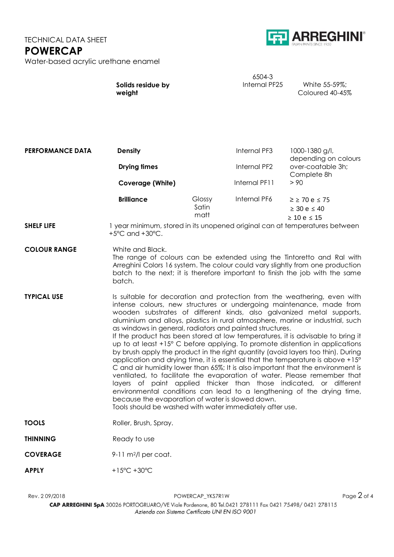

|                   | $6.504 - 3$   |                 |
|-------------------|---------------|-----------------|
| Solids residue by | Internal PF25 | White 55-59%;   |
| weight            |               | Coloured 40-45% |

| <b>PERFORMANCE DATA</b> | <b>Density</b><br><b>Drying times</b><br><b>Coverage (White)</b>                                                                                                                                                                                                                                                                                                                                                                                                                                                                                                                                                                                                                                                                                                                                                                                                                                                                                                                                                                                                                                                                                 |                         | <b>Internal PF3</b> | 1000-1380 g/l,<br>depending on colours<br>over-coatable 3h;<br>Complete 8h<br>> 90 |  |  |
|-------------------------|--------------------------------------------------------------------------------------------------------------------------------------------------------------------------------------------------------------------------------------------------------------------------------------------------------------------------------------------------------------------------------------------------------------------------------------------------------------------------------------------------------------------------------------------------------------------------------------------------------------------------------------------------------------------------------------------------------------------------------------------------------------------------------------------------------------------------------------------------------------------------------------------------------------------------------------------------------------------------------------------------------------------------------------------------------------------------------------------------------------------------------------------------|-------------------------|---------------------|------------------------------------------------------------------------------------|--|--|
|                         |                                                                                                                                                                                                                                                                                                                                                                                                                                                                                                                                                                                                                                                                                                                                                                                                                                                                                                                                                                                                                                                                                                                                                  |                         | <b>Internal PF2</b> |                                                                                    |  |  |
|                         |                                                                                                                                                                                                                                                                                                                                                                                                                                                                                                                                                                                                                                                                                                                                                                                                                                                                                                                                                                                                                                                                                                                                                  |                         | Internal PF11       |                                                                                    |  |  |
|                         | <b>Brilliance</b>                                                                                                                                                                                                                                                                                                                                                                                                                                                                                                                                                                                                                                                                                                                                                                                                                                                                                                                                                                                                                                                                                                                                | Glossy<br>Satin<br>matt | Internal PF6        | $\geq$ $\geq$ 70 e $\leq$ 75<br>$\geq$ 30 e $\leq$ 40<br>$\geq 10$ e $\leq 15$     |  |  |
| <b>SHELF LIFE</b>       | I year minimum, stored in its unopened original can at temperatures between<br>$+5^{\circ}$ C and $+30^{\circ}$ C.                                                                                                                                                                                                                                                                                                                                                                                                                                                                                                                                                                                                                                                                                                                                                                                                                                                                                                                                                                                                                               |                         |                     |                                                                                    |  |  |
| <b>COLOUR RANGE</b>     | White and Black.<br>The range of colours can be extended using the Tintoretto and Ral with<br>Arreghini Colors 16 system. The colour could vary slightly from one production<br>batch to the next; it is therefore important to finish the job with the same<br>batch.                                                                                                                                                                                                                                                                                                                                                                                                                                                                                                                                                                                                                                                                                                                                                                                                                                                                           |                         |                     |                                                                                    |  |  |
| <b>TYPICAL USE</b>      | Is suitable for decoration and protection from the weathering, even with<br>intense colours, new structures or undergoing maintenance, made from<br>wooden substrates of different kinds, also galvanized metal supports,<br>aluminium and alloys, plastics in rural atmosphere, marine or industrial, such<br>as windows in general, radiators and painted structures.<br>If the product has been stored at low temperatures, it is advisable to bring it<br>up to at least +15° C before applying. To promote distention in applications<br>by brush apply the product in the right quantity (avoid layers too thin). During<br>application and drying time, it is essential that the temperature is above +15°<br>C and air humidity lower than 65%; It is also important that the environment is<br>ventilated, to facilitate the evaporation of water. Please remember that<br>layers of paint applied thicker than those indicated, or different<br>environmental conditions can lead to a lengthening of the drying time,<br>because the evaporation of water is slowed down.<br>Tools should be washed with water immediately after use. |                         |                     |                                                                                    |  |  |
| <b>TOOLS</b>            | Roller, Brush, Spray.                                                                                                                                                                                                                                                                                                                                                                                                                                                                                                                                                                                                                                                                                                                                                                                                                                                                                                                                                                                                                                                                                                                            |                         |                     |                                                                                    |  |  |
| <b>THINNING</b>         | Ready to use                                                                                                                                                                                                                                                                                                                                                                                                                                                                                                                                                                                                                                                                                                                                                                                                                                                                                                                                                                                                                                                                                                                                     |                         |                     |                                                                                    |  |  |
| <b>COVERAGE</b>         | $9-11$ m <sup>2</sup> /l per coat.                                                                                                                                                                                                                                                                                                                                                                                                                                                                                                                                                                                                                                                                                                                                                                                                                                                                                                                                                                                                                                                                                                               |                         |                     |                                                                                    |  |  |
| <b>APPLY</b>            | +15°C +30°C                                                                                                                                                                                                                                                                                                                                                                                                                                                                                                                                                                                                                                                                                                                                                                                                                                                                                                                                                                                                                                                                                                                                      |                         |                     |                                                                                    |  |  |

Rev. 2 09/2018 **POWERCAP\_YKS7R1W** POWERCAP\_YKS7R1W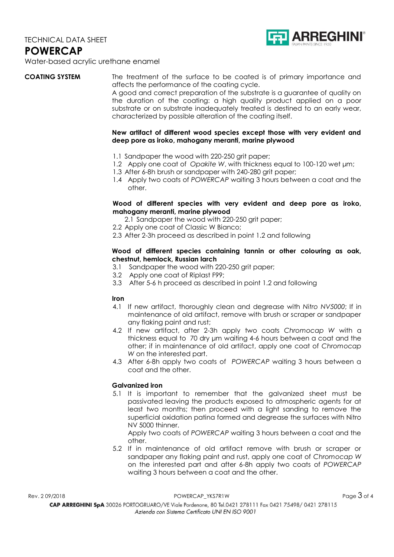

Water-based acrylic urethane enamel

**COATING SYSTEM** The treatment of the surface to be coated is of primary importance and affects the performance of the coating cycle.

A good and correct preparation of the substrate is a guarantee of quality on the duration of the coating: a high quality product applied on a poor substrate or on substrate inadequately treated is destined to an early wear, characterized by possible alteration of the coating itself.

### **New artifact of different wood species except those with very evident and deep pore as iroko, mahogany meranti, marine plywood**

- 1.1 Sandpaper the wood with 220-250 grit paper;
- 1.2 Apply one coat of *Opakite W*, with thickness equal to 100-120 wet  $\mu$ m;
- 1.3 After 6-8h brush or sandpaper with 240-280 grit paper;
- 1.4 Apply two coats of *POWERCAP* waiting 3 hours between a coat and the other.

# **Wood of different species with very evident and deep pore as iroko, mahogany meranti, marine plywood**

2.1 Sandpaper the wood with 220-250 grit paper;

- 2.2 Apply one coat of Classic W Bianco;
- 2.3 After 2-3h proceed as described in point 1.2 and following

## **Wood of different species containing tannin or other colouring as oak, chestnut, hemlock, Russian larch**

- 3.1 Sandpaper the wood with 220-250 grit paper;
- 3.2 Apply one coat of Riplast F99;
- 3.3 After 5-6 h proceed as described in point 1.2 and following

#### **Iron**

- 4.1 If new artifact, thoroughly clean and degrease with *Nitro NV5000*; If in maintenance of old artifact, remove with brush or scraper or sandpaper any flaking paint and rust;
- 4.2 If new artifact, after 2-3h apply two coats *Chromocap W* with a thickness equal to 70 dry μm waiting 4-6 hours between a coat and the other; if in maintenance of old artifact, apply one coat of *Chromocap W* on the interested part.
- 4.3 After 6-8h apply two coats of *POWERCAP* waiting 3 hours between a coat and the other.

# **Galvanized iron**

5.1 It is important to remember that the galvanized sheet must be passivated leaving the products exposed to atmospheric agents for at least two months; then proceed with a light sanding to remove the superficial oxidation patina formed and degrease the surfaces with Nitro NV 5000 thinner.

Apply two coats of *POWERCAP* waiting 3 hours between a coat and the other.

5.2 If in maintenance of old artifact remove with brush or scraper or sandpaper any flaking paint and rust, apply one coat of *Chromocap W* on the interested part and after 6-8h apply two coats of *POWERCAP* waiting 3 hours between a coat and the other.

 $R$ ev. 2 09/2018  $P$ OWERCAP\_YKS7R1W POWERCAP\_YKS7R1W Page  $3$  of 4